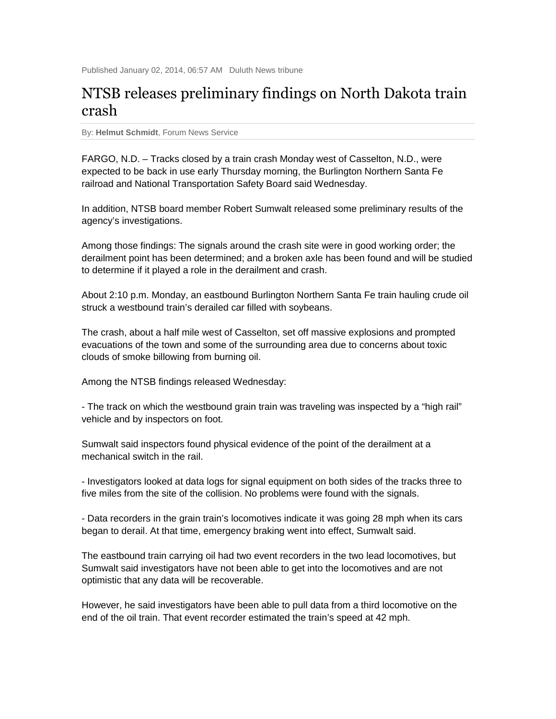## NTSB releases preliminary findings on North Dakota train crash

By: **Helmut Schmidt**, Forum News Service

FARGO, N.D. – Tracks closed by a train crash Monday west of Casselton, N.D., were expected to be back in use early Thursday morning, the Burlington Northern Santa Fe railroad and National Transportation Safety Board said Wednesday.

In addition, NTSB board member Robert Sumwalt released some preliminary results of the agency's investigations.

Among those findings: The signals around the crash site were in good working order; the derailment point has been determined; and a broken axle has been found and will be studied to determine if it played a role in the derailment and crash.

About 2:10 p.m. Monday, an eastbound Burlington Northern Santa Fe train hauling crude oil struck a westbound train's derailed car filled with soybeans.

The crash, about a half mile west of Casselton, set off massive explosions and prompted evacuations of the town and some of the surrounding area due to concerns about toxic clouds of smoke billowing from burning oil.

Among the NTSB findings released Wednesday:

- The track on which the westbound grain train was traveling was inspected by a "high rail" vehicle and by inspectors on foot.

Sumwalt said inspectors found physical evidence of the point of the derailment at a mechanical switch in the rail.

- Investigators looked at data logs for signal equipment on both sides of the tracks three to five miles from the site of the collision. No problems were found with the signals.

- Data recorders in the grain train's locomotives indicate it was going 28 mph when its cars began to derail. At that time, emergency braking went into effect, Sumwalt said.

The eastbound train carrying oil had two event recorders in the two lead locomotives, but Sumwalt said investigators have not been able to get into the locomotives and are not optimistic that any data will be recoverable.

However, he said investigators have been able to pull data from a third locomotive on the end of the oil train. That event recorder estimated the train's speed at 42 mph.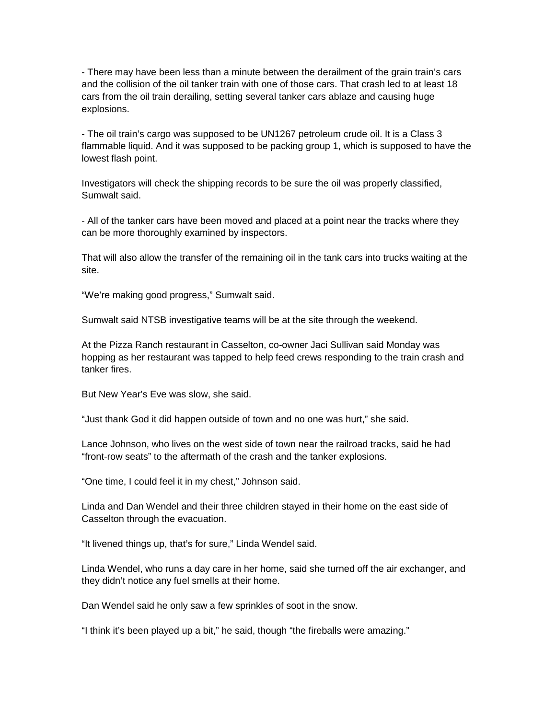- There may have been less than a minute between the derailment of the grain train's cars and the collision of the oil tanker train with one of those cars. That crash led to at least 18 cars from the oil train derailing, setting several tanker cars ablaze and causing huge explosions.

- The oil train's cargo was supposed to be UN1267 petroleum crude oil. It is a Class 3 flammable liquid. And it was supposed to be packing group 1, which is supposed to have the lowest flash point.

Investigators will check the shipping records to be sure the oil was properly classified, Sumwalt said.

- All of the tanker cars have been moved and placed at a point near the tracks where they can be more thoroughly examined by inspectors.

That will also allow the transfer of the remaining oil in the tank cars into trucks waiting at the site.

"We're making good progress," Sumwalt said.

Sumwalt said NTSB investigative teams will be at the site through the weekend.

At the Pizza Ranch restaurant in Casselton, co-owner Jaci Sullivan said Monday was hopping as her restaurant was tapped to help feed crews responding to the train crash and tanker fires.

But New Year's Eve was slow, she said.

"Just thank God it did happen outside of town and no one was hurt," she said.

Lance Johnson, who lives on the west side of town near the railroad tracks, said he had "front-row seats" to the aftermath of the crash and the tanker explosions.

"One time, I could feel it in my chest," Johnson said.

Linda and Dan Wendel and their three children stayed in their home on the east side of Casselton through the evacuation.

"It livened things up, that's for sure," Linda Wendel said.

Linda Wendel, who runs a day care in her home, said she turned off the air exchanger, and they didn't notice any fuel smells at their home.

Dan Wendel said he only saw a few sprinkles of soot in the snow.

"I think it's been played up a bit," he said, though "the fireballs were amazing."